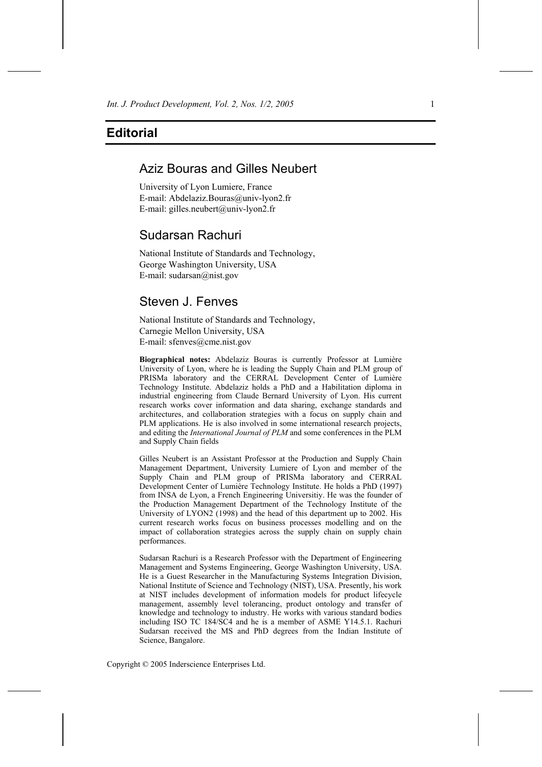## **Editorial**

## Aziz Bouras and Gilles Neubert

University of Lyon Lumiere, France E-mail: Abdelaziz.Bouras@univ-lyon2.fr E-mail: gilles.neubert@univ-lyon2.fr

## Sudarsan Rachuri

National Institute of Standards and Technology, George Washington University, USA E-mail: sudarsan@nist.gov

# Steven J. Fenves

National Institute of Standards and Technology, Carnegie Mellon University, USA E-mail: sfenves@cme.nist.gov

**Biographical notes:** Abdelaziz Bouras is currently Professor at Lumière University of Lyon, where he is leading the Supply Chain and PLM group of PRISMa laboratory and the CERRAL Development Center of Lumière Technology Institute. Abdelaziz holds a PhD and a Habilitation diploma in industrial engineering from Claude Bernard University of Lyon. His current research works cover information and data sharing, exchange standards and architectures, and collaboration strategies with a focus on supply chain and PLM applications. He is also involved in some international research projects, and editing the *International Journal of PLM* and some conferences in the PLM and Supply Chain fields

Gilles Neubert is an Assistant Professor at the Production and Supply Chain Management Department, University Lumiere of Lyon and member of the Supply Chain and PLM group of PRISMa laboratory and CERRAL Development Center of Lumière Technology Institute. He holds a PhD (1997) from INSA de Lyon, a French Engineering Universitiy. He was the founder of the Production Management Department of the Technology Institute of the University of LYON2 (1998) and the head of this department up to 2002. His current research works focus on business processes modelling and on the impact of collaboration strategies across the supply chain on supply chain performances.

Sudarsan Rachuri is a Research Professor with the Department of Engineering Management and Systems Engineering, George Washington University, USA. He is a Guest Researcher in the Manufacturing Systems Integration Division, National Institute of Science and Technology (NIST), USA. Presently, his work at NIST includes development of information models for product lifecycle management, assembly level tolerancing, product ontology and transfer of knowledge and technology to industry. He works with various standard bodies including ISO TC 184/SC4 and he is a member of ASME Y14.5.1. Rachuri Sudarsan received the MS and PhD degrees from the Indian Institute of Science, Bangalore.

Copyright © 2005 Inderscience Enterprises Ltd.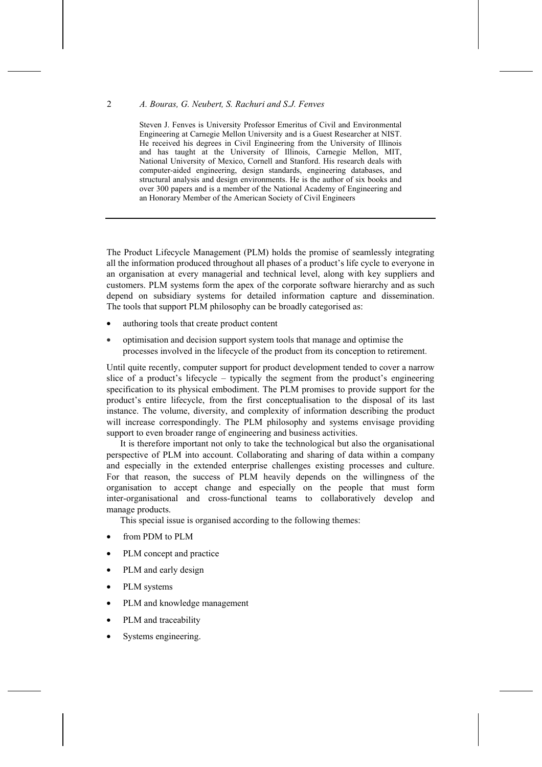## 2 *A. Bouras, G. Neubert, S. Rachuri and S.J. Fenves*

Steven J. Fenves is University Professor Emeritus of Civil and Environmental Engineering at Carnegie Mellon University and is a Guest Researcher at NIST. He received his degrees in Civil Engineering from the University of Illinois and has taught at the University of Illinois, Carnegie Mellon, MIT, National University of Mexico, Cornell and Stanford. His research deals with computer-aided engineering, design standards, engineering databases, and structural analysis and design environments. He is the author of six books and over 300 papers and is a member of the National Academy of Engineering and an Honorary Member of the American Society of Civil Engineers

The Product Lifecycle Management (PLM) holds the promise of seamlessly integrating all the information produced throughout all phases of a product's life cycle to everyone in an organisation at every managerial and technical level, along with key suppliers and customers. PLM systems form the apex of the corporate software hierarchy and as such depend on subsidiary systems for detailed information capture and dissemination. The tools that support PLM philosophy can be broadly categorised as:

- authoring tools that create product content
- optimisation and decision support system tools that manage and optimise the processes involved in the lifecycle of the product from its conception to retirement.

Until quite recently, computer support for product development tended to cover a narrow slice of a product's lifecycle – typically the segment from the product's engineering specification to its physical embodiment. The PLM promises to provide support for the product's entire lifecycle, from the first conceptualisation to the disposal of its last instance. The volume, diversity, and complexity of information describing the product will increase correspondingly. The PLM philosophy and systems envisage providing support to even broader range of engineering and business activities.

It is therefore important not only to take the technological but also the organisational perspective of PLM into account. Collaborating and sharing of data within a company and especially in the extended enterprise challenges existing processes and culture. For that reason, the success of PLM heavily depends on the willingness of the organisation to accept change and especially on the people that must form inter-organisational and cross-functional teams to collaboratively develop and manage products.

This special issue is organised according to the following themes:

- from PDM to PLM
- PLM concept and practice
- PLM and early design
- PLM systems
- PLM and knowledge management
- PLM and traceability
- Systems engineering.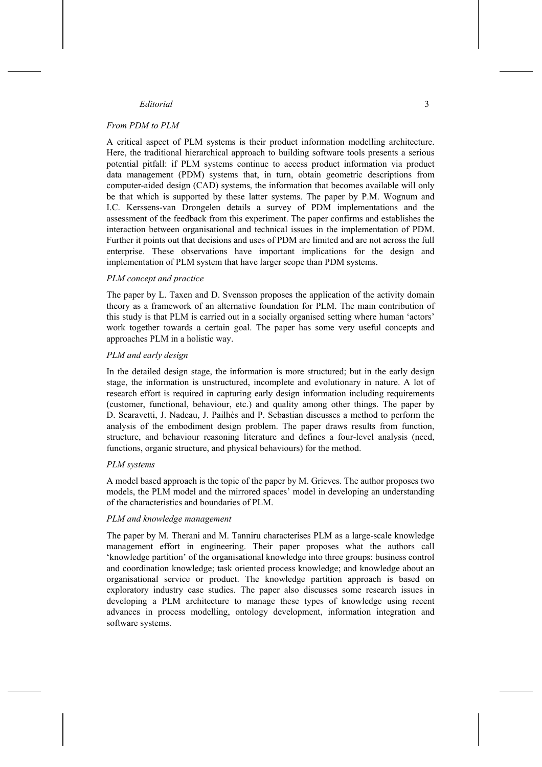## *Editorial* 3

### *From PDM to PLM*

A critical aspect of PLM systems is their product information modelling architecture. Here, the traditional hierarchical approach to building software tools presents a serious potential pitfall: if PLM systems continue to access product information via product data management (PDM) systems that, in turn, obtain geometric descriptions from computer-aided design (CAD) systems, the information that becomes available will only be that which is supported by these latter systems. The paper by P.M. Wognum and I.C. Kerssens-van Drongelen details a survey of PDM implementations and the assessment of the feedback from this experiment. The paper confirms and establishes the interaction between organisational and technical issues in the implementation of PDM. Further it points out that decisions and uses of PDM are limited and are not across the full enterprise. These observations have important implications for the design and implementation of PLM system that have larger scope than PDM systems.

#### *PLM concept and practice*

The paper by L. Taxen and D. Svensson proposes the application of the activity domain theory as a framework of an alternative foundation for PLM. The main contribution of this study is that PLM is carried out in a socially organised setting where human 'actors' work together towards a certain goal. The paper has some very useful concepts and approaches PLM in a holistic way.

### *PLM and early design*

In the detailed design stage, the information is more structured; but in the early design stage, the information is unstructured, incomplete and evolutionary in nature. A lot of research effort is required in capturing early design information including requirements (customer, functional, behaviour, etc.) and quality among other things. The paper by D. Scaravetti, J. Nadeau, J. Pailhès and P. Sebastian discusses a method to perform the analysis of the embodiment design problem. The paper draws results from function, structure, and behaviour reasoning literature and defines a four-level analysis (need, functions, organic structure, and physical behaviours) for the method.

#### *PLM systems*

A model based approach is the topic of the paper by M. Grieves. The author proposes two models, the PLM model and the mirrored spaces' model in developing an understanding of the characteristics and boundaries of PLM.

#### *PLM and knowledge management*

The paper by M. Therani and M. Tanniru characterises PLM as a large-scale knowledge management effort in engineering. Their paper proposes what the authors call 'knowledge partition' of the organisational knowledge into three groups: business control and coordination knowledge; task oriented process knowledge; and knowledge about an organisational service or product. The knowledge partition approach is based on exploratory industry case studies. The paper also discusses some research issues in developing a PLM architecture to manage these types of knowledge using recent advances in process modelling, ontology development, information integration and software systems.